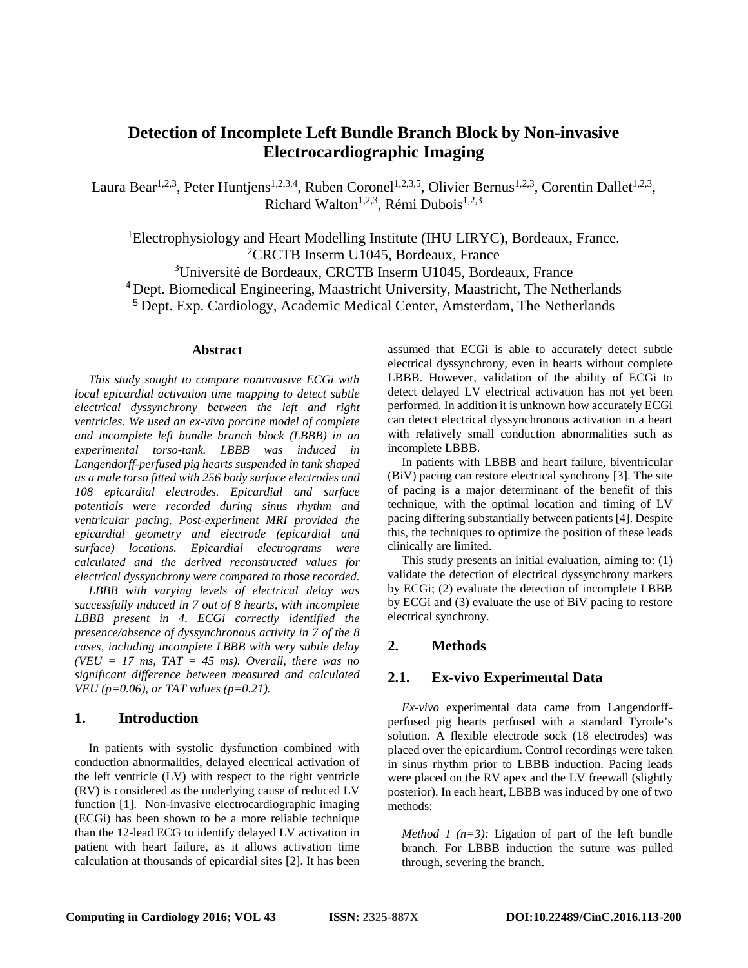# **Detection of Incomplete Left Bundle Branch Block by Non-invasive Electrocardiographic Imaging**

Laura Bear<sup>1,2,3</sup>, Peter Huntjens<sup>1,2,3,4</sup>, Ruben Coronel<sup>1,2,3,5</sup>, Olivier Bernus<sup>1,2,3</sup>, Corentin Dallet<sup>1,2,3</sup>, Richard Walton<sup>1,2,3</sup>, Rémi Dubois<sup>1,2,3</sup>

<sup>1</sup>Electrophysiology and Heart Modelling Institute (IHU LIRYC), Bordeaux, France. 2 CRCTB Inserm U1045, Bordeaux, France

3 Université de Bordeaux, CRCTB Inserm U1045, Bordeaux, France

<sup>4</sup> Dept. Biomedical Engineering, Maastricht University, Maastricht, The Netherlands

<sup>5</sup> Dept. Exp. Cardiology, Academic Medical Center, Amsterdam, The Netherlands

#### **Abstract**

*This study sought to compare noninvasive ECGi with local epicardial activation time mapping to detect subtle electrical dyssynchrony between the left and right ventricles. We used an ex-vivo porcine model of complete and incomplete left bundle branch block (LBBB) in an experimental torso-tank. LBBB was induced in Langendorff-perfused pig hearts suspended in tank shaped as a male torso fitted with 256 body surface electrodes and 108 epicardial electrodes. Epicardial and surface potentials were recorded during sinus rhythm and ventricular pacing. Post-experiment MRI provided the epicardial geometry and electrode (epicardial and surface) locations. Epicardial electrograms were calculated and the derived reconstructed values for electrical dyssynchrony were compared to those recorded.*

*LBBB with varying levels of electrical delay was successfully induced in 7 out of 8 hearts, with incomplete LBBB present in 4. ECGi correctly identified the presence/absence of dyssynchronous activity in 7 of the 8 cases, including incomplete LBBB with very subtle delay*   $(VEU = 17$  ms,  $TAT = 45$  ms). Overall, there was no *significant difference between measured and calculated VEU (p=0.06), or TAT values (p=0.21).* 

## **1. Introduction**

In patients with systolic dysfunction combined with conduction abnormalities, delayed electrical activation of the left ventricle (LV) with respect to the right ventricle (RV) is considered as the underlying cause of reduced LV function [1]. Non-invasive electrocardiographic imaging (ECGi) has been shown to be a more reliable technique than the 12-lead ECG to identify delayed LV activation in patient with heart failure, as it allows activation time calculation at thousands of epicardial sites [2]. It has been

assumed that ECGi is able to accurately detect subtle electrical dyssynchrony, even in hearts without complete LBBB. However, validation of the ability of ECGi to detect delayed LV electrical activation has not yet been performed. In addition it is unknown how accurately ECGi can detect electrical dyssynchronous activation in a heart with relatively small conduction abnormalities such as incomplete LBBB.

In patients with LBBB and heart failure, biventricular (BiV) pacing can restore electrical synchrony [3]. The site of pacing is a major determinant of the benefit of this technique, with the optimal location and timing of LV pacing differing substantially between patients [4]. Despite this, the techniques to optimize the position of these leads clinically are limited.

This study presents an initial evaluation, aiming to: (1) validate the detection of electrical dyssynchrony markers by ECGi; (2) evaluate the detection of incomplete LBBB by ECGi and (3) evaluate the use of BiV pacing to restore electrical synchrony.

# **2. Methods**

## **2.1. Ex-vivo Experimental Data**

*Ex-vivo* experimental data came from Langendorffperfused pig hearts perfused with a standard Tyrode's solution. A flexible electrode sock (18 electrodes) was placed over the epicardium. Control recordings were taken in sinus rhythm prior to LBBB induction. Pacing leads were placed on the RV apex and the LV freewall (slightly posterior). In each heart, LBBB was induced by one of two methods:

*Method 1 (n=3):* Ligation of part of the left bundle branch. For LBBB induction the suture was pulled through, severing the branch.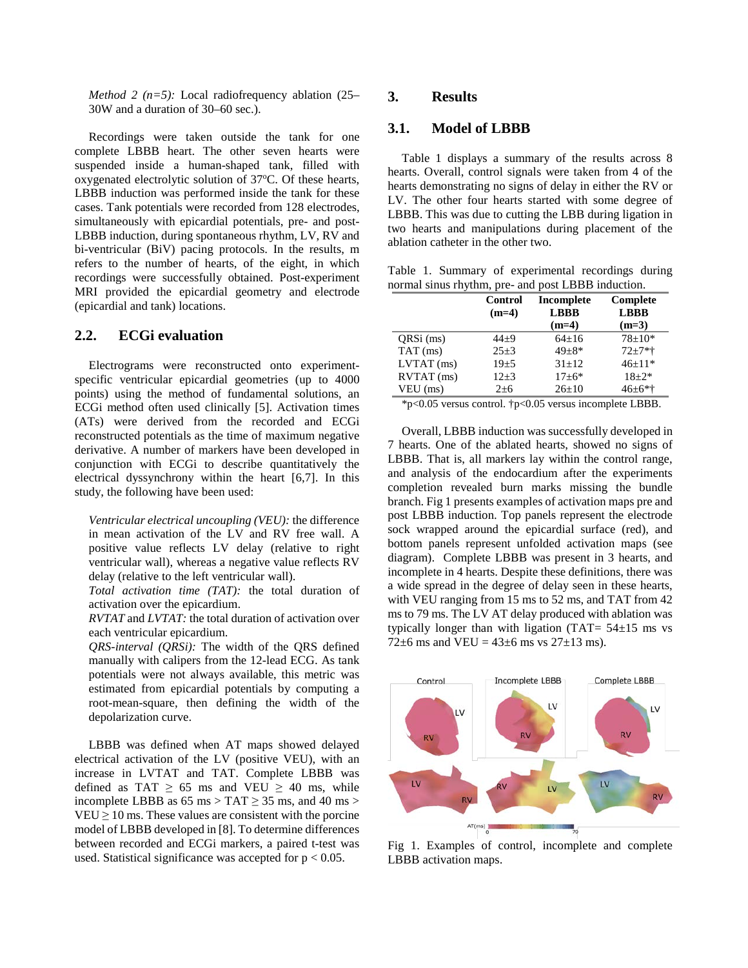*Method 2 (n=5):* Local radiofrequency ablation (25– 30W and a duration of 30–60 sec.).

Recordings were taken outside the tank for one complete LBBB heart. The other seven hearts were suspended inside a human-shaped tank, filled with oxygenated electrolytic solution of 37°C. Of these hearts, LBBB induction was performed inside the tank for these cases. Tank potentials were recorded from 128 electrodes, simultaneously with epicardial potentials, pre- and post-LBBB induction, during spontaneous rhythm, LV, RV and bi-ventricular (BiV) pacing protocols. In the results, m refers to the number of hearts, of the eight, in which recordings were successfully obtained. Post-experiment MRI provided the epicardial geometry and electrode (epicardial and tank) locations.

# **2.2. ECGi evaluation**

Electrograms were reconstructed onto experimentspecific ventricular epicardial geometries (up to 4000 points) using the method of fundamental solutions, an ECGi method often used clinically [5]. Activation times (ATs) were derived from the recorded and ECGi reconstructed potentials as the time of maximum negative derivative. A number of markers have been developed in conjunction with ECGi to describe quantitatively the electrical dyssynchrony within the heart [6,7]. In this study, the following have been used:

*Ventricular electrical uncoupling (VEU):* the difference in mean activation of the LV and RV free wall. A positive value reflects LV delay (relative to right ventricular wall), whereas a negative value reflects RV delay (relative to the left ventricular wall).

*Total activation time (TAT):* the total duration of activation over the epicardium.

*RVTAT* and *LVTAT:* the total duration of activation over each ventricular epicardium.

*QRS-interval (QRSi):* The width of the QRS defined manually with calipers from the 12-lead ECG. As tank potentials were not always available, this metric was estimated from epicardial potentials by computing a root-mean-square, then defining the width of the depolarization curve.

LBBB was defined when AT maps showed delayed electrical activation of the LV (positive VEU), with an increase in LVTAT and TAT. Complete LBBB was defined as TAT  $\geq$  65 ms and VEU  $\geq$  40 ms, while incomplete LBBB as  $65 \text{ ms} > \text{TAT} \geq 35 \text{ ms}$ , and  $40 \text{ ms} >$  $VEU \geq 10$  ms. These values are consistent with the porcine model of LBBB developed in [8]. To determine differences between recorded and ECGi markers, a paired t-test was used. Statistical significance was accepted for  $p < 0.05$ .

# **3. Results**

## **3.1. Model of LBBB**

Table 1 displays a summary of the results across 8 hearts. Overall, control signals were taken from 4 of the hearts demonstrating no signs of delay in either the RV or LV. The other four hearts started with some degree of LBBB. This was due to cutting the LBB during ligation in two hearts and manipulations during placement of the ablation catheter in the other two.

Table 1. Summary of experimental recordings during normal sinus rhythm, pre- and post LBBB induction.

|              | Control<br>$(m=4)$ | Incomplete<br><b>LBBB</b> | Complete<br><b>LBBB</b> |
|--------------|--------------------|---------------------------|-------------------------|
|              |                    | $(m=4)$                   | $(m=3)$                 |
| ORSi (ms)    | $44+9$             | $64+16$                   | $78+10*$                |
| $TAT$ (ms)   | $25 + 3$           | $49 + 8*$                 | $72 + 7*$               |
| $LVTAT$ (ms) | $19 + 5$           | $31 + 12$                 | $46+11*$                |
| RVTAT (ms)   | $12+3$             | $17 + 6*$                 | $18 + 2*$               |
| $VEU$ (ms)   | $2 + 6$            | $26 \pm 10$               | $46+6**$                |

\*p<0.05 versus control. †p<0.05 versus incomplete LBBB.

Overall, LBBB induction was successfully developed in 7 hearts. One of the ablated hearts, showed no signs of LBBB. That is, all markers lay within the control range, and analysis of the endocardium after the experiments completion revealed burn marks missing the bundle branch. Fig 1 presents examples of activation maps pre and post LBBB induction. Top panels represent the electrode sock wrapped around the epicardial surface (red), and bottom panels represent unfolded activation maps (see diagram). Complete LBBB was present in 3 hearts, and incomplete in 4 hearts. Despite these definitions, there was a wide spread in the degree of delay seen in these hearts, with VEU ranging from 15 ms to 52 ms, and TAT from 42 ms to 79 ms. The LV AT delay produced with ablation was typically longer than with ligation  $(TAT = 54 \pm 15$  ms vs 72 $\pm$ 6 ms and VEU = 43 $\pm$ 6 ms vs 27 $\pm$ 13 ms).



Fig 1. Examples of control, incomplete and complete LBBB activation maps.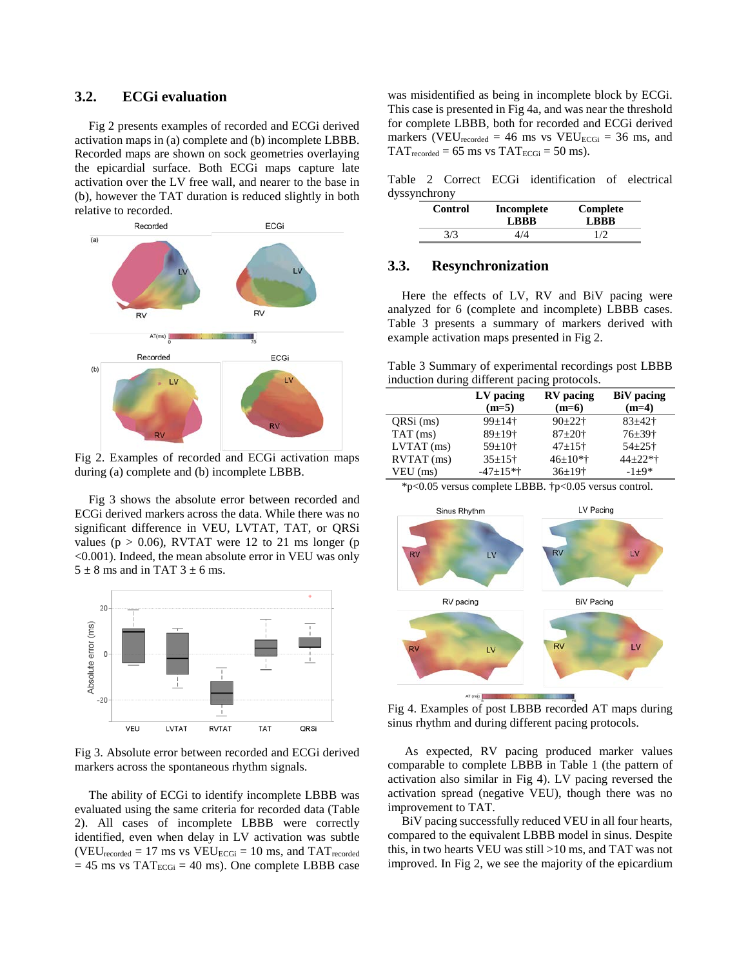# **3.2. ECGi evaluation**

Fig 2 presents examples of recorded and ECGi derived activation maps in (a) complete and (b) incomplete LBBB. Recorded maps are shown on sock geometries overlaying the epicardial surface. Both ECGi maps capture late activation over the LV free wall, and nearer to the base in (b), however the TAT duration is reduced slightly in both relative to recorded.



Fig 2. Examples of recorded and ECGi activation maps during (a) complete and (b) incomplete LBBB.

Fig 3 shows the absolute error between recorded and ECGi derived markers across the data. While there was no significant difference in VEU, LVTAT, TAT, or QRSi values ( $p > 0.06$ ), RVTAT were 12 to 21 ms longer ( $p$ <0.001). Indeed, the mean absolute error in VEU was only  $5 \pm 8$  ms and in TAT  $3 \pm 6$  ms.



Fig 3. Absolute error between recorded and ECGi derived markers across the spontaneous rhythm signals.

The ability of ECGi to identify incomplete LBBB was evaluated using the same criteria for recorded data (Table 2). All cases of incomplete LBBB were correctly identified, even when delay in LV activation was subtle  $(VEU_{recorded} = 17 \text{ ms vs } VEU_{ECGi} = 10 \text{ ms, and } TAT_{recorded}$  $= 45$  ms vs TAT<sub>ECGi</sub>  $= 40$  ms). One complete LBBB case was misidentified as being in incomplete block by ECGi. This case is presented in Fig 4a, and was near the threshold for complete LBBB, both for recorded and ECGi derived markers (VEU<sub>recorded</sub> = 46 ms vs VEU<sub>ECGi</sub> = 36 ms, and  $TAT_{recorded} = 65$  ms vs  $TAT_{ECGi} = 50$  ms).

Table 2 Correct ECGi identification of electrical dyssynchrony

| Control | Incomplete<br><b>LBBB</b> | Complete<br><b>LRRR</b> |
|---------|---------------------------|-------------------------|
| 3/3     | 4/4                       | 1/2                     |

#### **3.3. Resynchronization**

Here the effects of LV, RV and BiV pacing were analyzed for 6 (complete and incomplete) LBBB cases. Table 3 presents a summary of markers derived with example activation maps presented in Fig 2.

Table 3 Summary of experimental recordings post LBBB induction during different pacing protocols.

|              | LV pacing            | RV pacing                | <b>BiV</b> pacing      |
|--------------|----------------------|--------------------------|------------------------|
|              | $(m=5)$              | $(m=6)$                  | $(m=4)$                |
| QRSi (ms)    | $99+14$ †            | $90+22$ †                | $83 + 42 +$            |
| $TAT$ (ms)   | $89+19$ <sup>+</sup> | $87+20$ †                | $76 + 39$ <sup>+</sup> |
| $LVTAT$ (ms) | $59 \pm 10^{+}$      | $47+15$ <sup>+</sup>     | $54 + 25$ †            |
| RVTAT (ms)   | $35+15+$             | $46 \pm 10*$             | $44 + 22$ *†           |
| $VEU$ (ms)   | $-47+15**$           | $36 \pm 19$ <sup>+</sup> | $-1+9*$                |

\*p<0.05 versus complete LBBB. †p<0.05 versus control.



Fig 4. Examples of post LBBB recorded AT maps during sinus rhythm and during different pacing protocols.

As expected, RV pacing produced marker values comparable to complete LBBB in Table 1 (the pattern of activation also similar in Fig 4). LV pacing reversed the activation spread (negative VEU), though there was no improvement to TAT.

BiV pacing successfully reduced VEU in all four hearts, compared to the equivalent LBBB model in sinus. Despite this, in two hearts VEU was still >10 ms, and TAT was not improved. In Fig 2, we see the majority of the epicardium